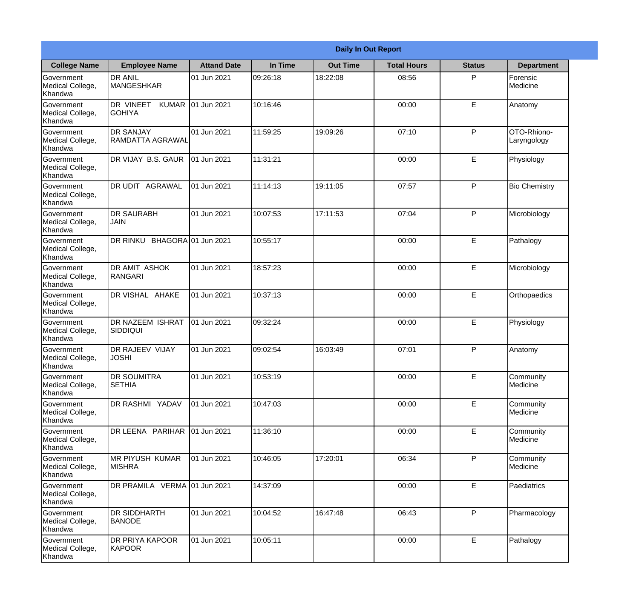| <b>Daily In Out Report</b>                       |                                            |                    |          |                 |                    |               |                            |
|--------------------------------------------------|--------------------------------------------|--------------------|----------|-----------------|--------------------|---------------|----------------------------|
| <b>College Name</b>                              | <b>Employee Name</b>                       | <b>Attand Date</b> | In Time  | <b>Out Time</b> | <b>Total Hours</b> | <b>Status</b> | <b>Department</b>          |
| Government<br>Medical College,<br>Khandwa        | <b>DR ANIL</b><br><b>MANGESHKAR</b>        | 01 Jun 2021        | 09:26:18 | 18:22:08        | 08:56              | P             | Forensic<br>Medicine       |
| Government<br>Medical College,<br>Khandwa        | DR VINEET<br><b>KUMAR</b><br><b>GOHIYA</b> | 01 Jun 2021        | 10:16:46 |                 | 00:00              | E             | Anatomy                    |
| <b>Government</b><br>Medical College,<br>Khandwa | <b>DR SANJAY</b><br>RAMDATTA AGRAWAL       | 01 Jun 2021        | 11:59:25 | 19:09:26        | 07:10              | P             | OTO-Rhiono-<br>Laryngology |
| Government<br>Medical College,<br>Khandwa        | DR VIJAY B.S. GAUR                         | 01 Jun 2021        | 11:31:21 |                 | 00:00              | E             | Physiology                 |
| Government<br>Medical College,<br>Khandwa        | <b>AGRAWAL</b><br>DR UDIT                  | 01 Jun 2021        | 11:14:13 | 19:11:05        | 07:57              | P             | <b>Bio Chemistry</b>       |
| Government<br>Medical College,<br>Khandwa        | <b>DR SAURABH</b><br><b>JAIN</b>           | 01 Jun 2021        | 10:07:53 | 17:11:53        | 07:04              | P             | Microbiology               |
| Government<br>Medical College,<br>Khandwa        | DR RINKU BHAGORA 01 Jun 2021               |                    | 10:55:17 |                 | 00:00              | E             | Pathalogy                  |
| Government<br>Medical College,<br>Khandwa        | <b>DR AMIT ASHOK</b><br>RANGARI            | 01 Jun 2021        | 18:57:23 |                 | 00:00              | E             | Microbiology               |
| Government<br>Medical College,<br>Khandwa        | DR VISHAL AHAKE                            | 01 Jun 2021        | 10:37:13 |                 | 00:00              | E             | Orthopaedics               |
| Government<br>Medical College,<br>Khandwa        | DR NAZEEM ISHRAT<br>SIDDIQUI               | 01 Jun 2021        | 09:32:24 |                 | 00:00              | E             | Physiology                 |
| Government<br>Medical College,<br>Khandwa        | <b>DR RAJEEV VIJAY</b><br><b>JOSHI</b>     | 01 Jun 2021        | 09:02:54 | 16:03:49        | 07:01              | $\mathsf{P}$  | Anatomy                    |
| Government<br>Medical College,<br>Khandwa        | <b>DR SOUMITRA</b><br><b>SETHIA</b>        | 01 Jun 2021        | 10:53:19 |                 | 00:00              | E             | Community<br>Medicine      |
| Government<br>Medical College,<br>Khandwa        | DR RASHMI YADAV                            | 01 Jun 2021        | 10:47:03 |                 | 00:00              | E             | Community<br>Medicine      |
| Government<br>Medical College,<br>Khandwa        | DR LEENA PARIHAR                           | 01 Jun 2021        | 11:36:10 |                 | 00:00              | E             | Community<br>Medicine      |
| Government<br>Medical College,<br>Khandwa        | <b>MR PIYUSH KUMAR</b><br><b>MISHRA</b>    | 01 Jun 2021        | 10:46:05 | 17:20:01        | 06:34              | $\mathsf{P}$  | Community<br>Medicine      |
| Government<br>Medical College,<br>Khandwa        | DR PRAMILA VERMA 01 Jun 2021               |                    | 14:37:09 |                 | 00:00              | E             | Paediatrics                |
| Government<br>Medical College,<br>Khandwa        | <b>DR SIDDHARTH</b><br><b>BANODE</b>       | 01 Jun 2021        | 10:04:52 | 16:47:48        | 06:43              | P             | Pharmacology               |
| Government<br>Medical College,<br>Khandwa        | <b>DR PRIYA KAPOOR</b><br>KAPOOR           | 01 Jun 2021        | 10:05:11 |                 | 00:00              | E             | Pathalogy                  |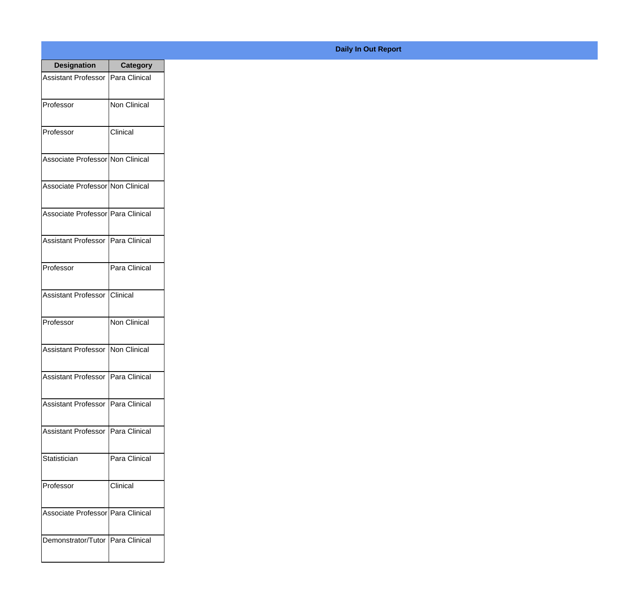| <b>Designation</b>                  | <b>Category</b>     |
|-------------------------------------|---------------------|
| Assistant Professor   Para Clinical |                     |
| Professor                           | <b>Non Clinical</b> |
| Professor                           | Clinical            |
| Associate Professor Non Clinical    |                     |
| Associate Professor Non Clinical    |                     |
| Associate Professor Para Clinical   |                     |
| Assistant Professor   Para Clinical |                     |
| Professor                           | Para Clinical       |
| <b>Assistant Professor</b>          | Clinical            |
| Professor                           | <b>Non Clinical</b> |
| Assistant Professor                 | Non Clinical        |
| Assistant Professor                 | Para Clinical       |
| <b>Assistant Professor</b>          | Para Clinical       |
| <b>Assistant Professor</b>          | Para Clinical       |
| Statistician                        | Para Clinical       |
| Professor                           | Clinical            |
| Associate Professor   Para Clinical |                     |
| Demonstrator/Tutor                  | Para Clinical       |

## **Daily In Out Report**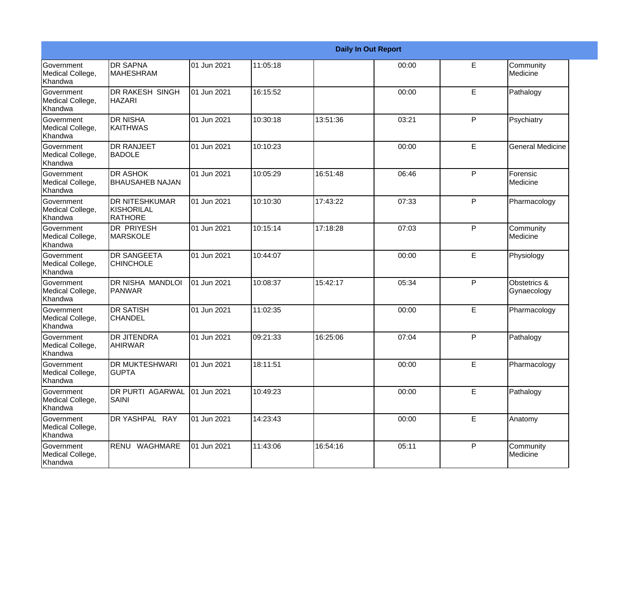|                                                  |                                                |             |          |          | <b>Daily In Out Report</b> |             |                             |
|--------------------------------------------------|------------------------------------------------|-------------|----------|----------|----------------------------|-------------|-----------------------------|
| Government<br>Medical College,<br>Khandwa        | <b>DR SAPNA</b><br><b>MAHESHRAM</b>            | 01 Jun 2021 | 11:05:18 |          | 00:00                      | E           | Community<br>Medicine       |
| <b>Government</b><br>Medical College,<br>Khandwa | <b>DR RAKESH SINGH</b><br>HAZARI               | 01 Jun 2021 | 16:15:52 |          | 00:00                      | E           | Pathalogy                   |
| <b>Government</b><br>Medical College,<br>Khandwa | <b>DR NISHA</b><br>KAITHWAS                    | 01 Jun 2021 | 10:30:18 | 13:51:36 | 03:21                      | P           | Psychiatry                  |
| Government<br>Medical College,<br>Khandwa        | <b>DR RANJEET</b><br><b>BADOLE</b>             | 01 Jun 2021 | 10:10:23 |          | 00:00                      | E.          | <b>General Medicine</b>     |
| Government<br>Medical College,<br>Khandwa        | <b>DR ASHOK</b><br><b>BHAUSAHEB NAJAN</b>      | 01 Jun 2021 | 10:05:29 | 16:51:48 | 06:46                      | P           | Forensic<br>Medicine        |
| <b>Government</b><br>Medical College,<br>Khandwa | <b>DR NITESHKUMAR</b><br>KISHORILAL<br>RATHORE | 01 Jun 2021 | 10:10:30 | 17:43:22 | 07:33                      | P           | Pharmacology                |
| Government<br>Medical College,<br><b>Khandwa</b> | <b>DR PRIYESH</b><br>MARSKOLE                  | 01 Jun 2021 | 10:15:14 | 17:18:28 | 07:03                      | P           | Community<br>Medicine       |
| Government<br>Medical College,<br>Khandwa        | <b>DR SANGEETA</b><br><b>CHINCHOLE</b>         | 01 Jun 2021 | 10:44:07 |          | 00:00                      | E           | Physiology                  |
| Government<br>Medical College,<br>Khandwa        | <b>DR NISHA MANDLOI</b><br>PANWAR              | 01 Jun 2021 | 10:08:37 | 15:42:17 | 05:34                      | P           | Obstetrics &<br>Gynaecology |
| <b>Government</b><br>Medical College,<br>Khandwa | <b>DR SATISH</b><br><b>CHANDEL</b>             | 01 Jun 2021 | 11:02:35 |          | 00:00                      | E           | Pharmacology                |
| <b>Government</b><br>Medical College,<br>Khandwa | <b>DR JITENDRA</b><br><b>AHIRWAR</b>           | 01 Jun 2021 | 09:21:33 | 16:25:06 | 07:04                      | P           | Pathalogy                   |
| Government<br>Medical College,<br>Khandwa        | <b>DR MUKTESHWARI</b><br><b>GUPTA</b>          | 01 Jun 2021 | 18:11:51 |          | 00:00                      | E           | Pharmacology                |
| Government<br>Medical College,<br>Khandwa        | <b>DR PURTI AGARWAL</b><br><b>SAINI</b>        | 01 Jun 2021 | 10:49:23 |          | 00:00                      | $\mathsf E$ | Pathalogy                   |
| Government<br>Medical College,<br>Khandwa        | DR YASHPAL RAY                                 | 01 Jun 2021 | 14:23:43 |          | 00:00                      | E           | Anatomy                     |
| Government<br>Medical College,<br>Khandwa        | RENU WAGHMARE                                  | 01 Jun 2021 | 11:43:06 | 16:54:16 | 05:11                      | P           | Community<br>Medicine       |